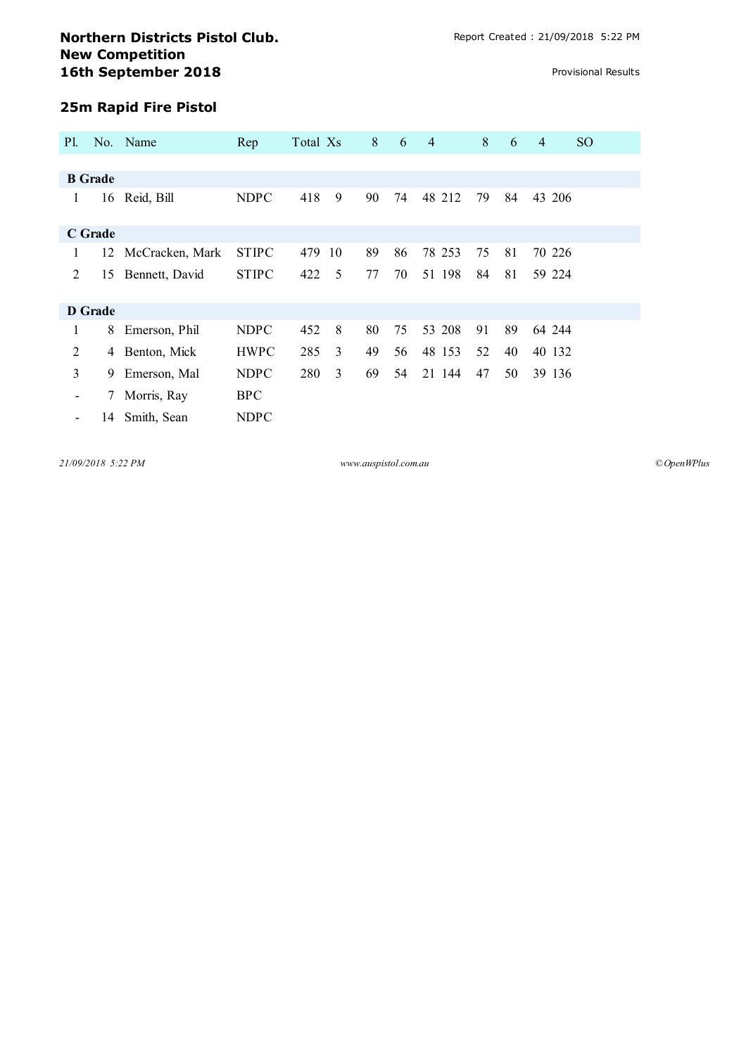## **Northern Districts Pistol Club.** Report Created : 21/09/2018 5:22 PM **New Competition 16th September 2018 Provisional Results**

## **25m Rapid Fire Pistol**

| Pl.            |    | No. Name        | Rep          | Total Xs |    | 8  | 6  | $\overline{4}$ | 8  | 6  | $\overline{4}$ | <sub>SO</sub> |
|----------------|----|-----------------|--------------|----------|----|----|----|----------------|----|----|----------------|---------------|
|                |    |                 |              |          |    |    |    |                |    |    |                |               |
| <b>B</b> Grade |    |                 |              |          |    |    |    |                |    |    |                |               |
| 1              |    | 16 Reid, Bill   | <b>NDPC</b>  | 418      | 9  | 90 | 74 | 48 212         | 79 | 84 | 43 206         |               |
| <b>C</b> Grade |    |                 |              |          |    |    |    |                |    |    |                |               |
| 1              | 12 | McCracken, Mark | <b>STIPC</b> | 479      | 10 | 89 | 86 | 78 253         | 75 | 81 | 70 226         |               |
| 2              | 15 | Bennett, David  | <b>STIPC</b> | 422      | 5  | 77 | 70 | 51 198         | 84 | 81 | 59 224         |               |
| D Grade        |    |                 |              |          |    |    |    |                |    |    |                |               |
| 1              | 8  | Emerson, Phil   | <b>NDPC</b>  | 452      | 8  | 80 | 75 | 53 208         | 91 | 89 | 64 244         |               |
| 2              | 4  | Benton, Mick    | <b>HWPC</b>  | 285      | 3  | 49 | 56 | 48 153         | 52 | 40 | 40 132         |               |
| 3              | 9  | Emerson, Mal    | <b>NDPC</b>  | 280      | 3  | 69 | 54 | 21 144         | 47 | 50 | 39 136         |               |
| -              | 7  | Morris, Ray     | <b>BPC</b>   |          |    |    |    |                |    |    |                |               |
|                | 14 | Smith, Sean     | <b>NDPC</b>  |          |    |    |    |                |    |    |                |               |

*21/09/2018 5:22 PM www.auspistol.com.au ©OpenWPlus*